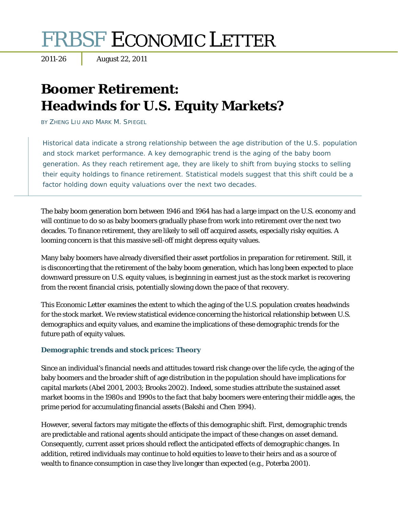# FRBSF ECONOMIC LETTER

# **Boomer Retirement: Headwinds for U.S. Equity Markets?**

BY ZHENG LIU AND MARK M. SPIEGEL

Historical data indicate a strong relationship between the age distribution of the U.S. population and stock market performance. A key demographic trend is the aging of the baby boom generation. As they reach retirement age, they are likely to shift from buying stocks to selling their equity holdings to finance retirement. Statistical models suggest that this shift could be a factor holding down equity valuations over the next two decades.

The baby boom generation born between 1946 and 1964 has had a large impact on the U.S. economy and will continue to do so as baby boomers gradually phase from work into retirement over the next two decades. To finance retirement, they are likely to sell off acquired assets, especially risky equities. A looming concern is that this massive sell-off might depress equity values.

Many baby boomers have already diversified their asset portfolios in preparation for retirement. Still, it is disconcerting that the retirement of the baby boom generation, which has long been expected to place downward pressure on U.S. equity values, is beginning in earnest just as the stock market is recovering from the recent financial crisis, potentially slowing down the pace of that recovery.

This *Economic Letter* examines the extent to which the aging of the U.S. population creates headwinds for the stock market. We review statistical evidence concerning the historical relationship between U.S. demographics and equity values, and examine the implications of these demographic trends for the future path of equity values.

# **Demographic trends and stock prices: Theory**

Since an individual's financial needs and attitudes toward risk change over the life cycle, the aging of the baby boomers and the broader shift of age distribution in the population should have implications for capital markets (Abel 2001, 2003; Brooks 2002). Indeed, some studies attribute the sustained asset market booms in the 1980s and 1990s to the fact that baby boomers were entering their middle ages, the prime period for accumulating financial assets (Bakshi and Chen 1994).

However, several factors may mitigate the effects of this demographic shift. First, demographic trends are predictable and rational agents should anticipate the impact of these changes on asset demand. Consequently, current asset prices should reflect the anticipated effects of demographic changes. In addition, retired individuals may continue to hold equities to leave to their heirs and as a source of wealth to finance consumption in case they live longer than expected (e.g., Poterba 2001).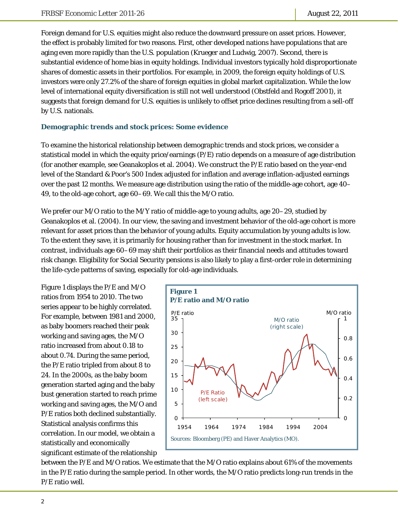Foreign demand for U.S. equities might also reduce the downward pressure on asset prices. However, the effect is probably limited for two reasons. First, other developed nations have populations that are aging even more rapidly than the U.S. population (Krueger and Ludwig, 2007). Second, there is substantial evidence of home bias in equity holdings. Individual investors typically hold disproportionate shares of domestic assets in their portfolios. For example, in 2009, the foreign equity holdings of U.S. investors were only 27.2% of the share of foreign equities in global market capitalization. While the low level of international equity diversification is still not well understood (Obstfeld and Rogoff 2001), it suggests that foreign demand for U.S. equities is unlikely to offset price declines resulting from a sell-off by U.S. nationals.

#### **Demographic trends and stock prices: Some evidence**

To examine the historical relationship between demographic trends and stock prices, we consider a statistical model in which the equity price/earnings (P/E) ratio depends on a measure of age distribution (for another example, see Geanakoplos et al. 2004). We construct the P/E ratio based on the year-end level of the Standard & Poor's 500 Index adjusted for inflation and average inflation-adjusted earnings over the past 12 months. We measure age distribution using the ratio of the middle-age cohort, age 40– 49, to the old-age cohort, age 60–69. We call this the M/O ratio.

We prefer our M/O ratio to the M/Y ratio of middle-age to young adults, age 20–29, studied by Geanakoplos et al. (2004). In our view, the saving and investment behavior of the old-age cohort is more relevant for asset prices than the behavior of young adults. Equity accumulation by young adults is low. To the extent they save, it is primarily for housing rather than for investment in the stock market. In contrast, individuals age 60–69 may shift their portfolios as their financial needs and attitudes toward risk change. Eligibility for Social Security pensions is also likely to play a first-order role in determining the life-cycle patterns of saving, especially for old-age individuals.

Figure 1 displays the P/E and M/O ratios from 1954 to 2010. The two series appear to be highly correlated. For example, between 1981 and 2000, as baby boomers reached their peak working and saving ages, the M/O ratio increased from about 0.18 to about 0.74. During the same period, the P/E ratio tripled from about 8 to 24. In the 2000s, as the baby boom generation started aging and the baby bust generation started to reach prime working and saving ages, the M/O and P/E ratios both declined substantially. Statistical analysis confirms this correlation. In our model, we obtain a statistically and economically significant estimate of the relationship



between the P/E and M/O ratios. We estimate that the M/O ratio explains about 61% of the movements in the P/E ratio during the sample period. In other words, the M/O ratio predicts long-run trends in the P/E ratio well.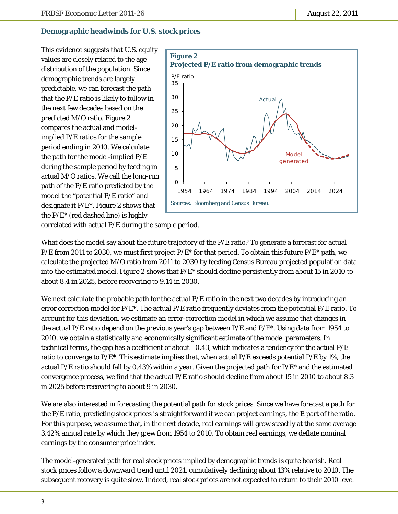# **Demographic headwinds for U.S. stock prices**

This evidence suggests that U.S. equity values are closely related to the age distribution of the population. Since demographic trends are largely predictable, we can forecast the path that the P/E ratio is likely to follow in the next few decades based on the predicted M/O ratio. Figure 2 compares the actual and modelimplied P/E ratios for the sample period ending in 2010. We calculate the path for the model-implied P/E during the sample period by feeding in actual M/O ratios. We call the long-run path of the P/E ratio predicted by the model the "potential P/E ratio" and designate it P/E\*. Figure 2 shows that the  $P/E^*$  (red dashed line) is highly



correlated with actual P/E during the sample period.

What does the model say about the future trajectory of the P/E ratio? To generate a forecast for actual  $P/E$  from 2011 to 2030, we must first project  $P/E^*$  for that period. To obtain this future  $P/E^*$  path, we calculate the projected M/O ratio from 2011 to 2030 by feeding Census Bureau projected population data into the estimated model. Figure 2 shows that  $P/E^*$  should decline persistently from about 15 in 2010 to about 8.4 in 2025, before recovering to 9.14 in 2030.

We next calculate the probable path for the actual  $P/E$  ratio in the next two decades by introducing an error correction model for  $P/E^*$ . The actual  $P/E$  ratio frequently deviates from the potential  $P/E$  ratio. To account for this deviation, we estimate an error-correction model in which we assume that changes in the actual P/E ratio depend on the previous year's gap between  $P/E$  and  $P/E^*$ . Using data from 1954 to 2010, we obtain a statistically and economically significant estimate of the model parameters. In technical terms, the gap has a coefficient of about  $-0.43$ , which indicates a tendency for the actual  $P/E$ ratio to converge to  $P/E^*$ . This estimate implies that, when actual  $P/E$  exceeds potential  $P/E$  by 1%, the actual P/E ratio should fall by 0.43% within a year. Given the projected path for P/E\* and the estimated convergence process, we find that the actual P/E ratio should decline from about 15 in 2010 to about 8.3 in 2025 before recovering to about 9 in 2030.

We are also interested in forecasting the potential path for stock prices. Since we have forecast a path for the P/E ratio, predicting stock prices is straightforward if we can project earnings, the E part of the ratio. For this purpose, we assume that, in the next decade, real earnings will grow steadily at the same average 3.42% annual rate by which they grew from 1954 to 2010. To obtain real earnings, we deflate nominal earnings by the consumer price index.

The model-generated path for real stock prices implied by demographic trends is quite bearish. Real stock prices follow a downward trend until 2021, cumulatively declining about 13% relative to 2010. The subsequent recovery is quite slow. Indeed, real stock prices are not expected to return to their 2010 level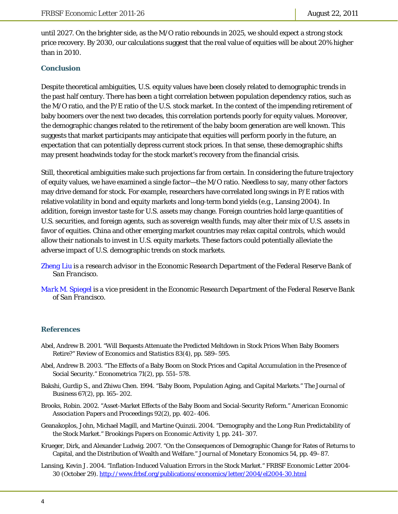until 2027. On the brighter side, as the M/O ratio rebounds in 2025, we should expect a strong stock price recovery. By 2030, our calculations suggest that the real value of equities will be about 20% higher than in 2010.

#### **Conclusion**

Despite theoretical ambiguities, U.S. equity values have been closely related to demographic trends in the past half century. There has been a tight correlation between population dependency ratios, such as the M/O ratio, and the P/E ratio of the U.S. stock market. In the context of the impending retirement of baby boomers over the next two decades, this correlation portends poorly for equity values. Moreover, the demographic changes related to the retirement of the baby boom generation are well known. This suggests that market participants may anticipate that equities will perform poorly in the future, an expectation that can potentially depress current stock prices. In that sense, these demographic shifts may present headwinds today for the stock market's recovery from the financial crisis.

Still, theoretical ambiguities make such projections far from certain. In considering the future trajectory of equity values, we have examined a single factor—the M/O ratio. Needless to say, many other factors may drive demand for stock. For example, researchers have correlated long swings in P/E ratios with relative volatility in bond and equity markets and long-term bond yields (e.g., Lansing 2004). In addition, foreign investor taste for U.S. assets may change. Foreign countries hold large quantities of U.S. securities, and foreign agents, such as sovereign wealth funds, may alter their mix of U.S. assets in favor of equities. China and other emerging market countries may relax capital controls, which would allow their nationals to invest in U.S. equity markets. These factors could potentially alleviate the adverse impact of U.S. demographic trends on stock markets.

- *[Zheng Liu](http://www.frbsf.org/economics/economists/staff.php?zliu) is a research advisor in the Economic Research Department of the Federal Reserve Bank of San Francisco.*
- *[Mark M. Spiegel](http://www.frbsf.org/economics/economists/staff.php?mspiegel) is a vice president in the Economic Research Department of the Federal Reserve Bank of San Francisco.*

#### **References**

- Abel, Andrew B. 2001. "Will Bequests Attenuate the Predicted Meltdown in Stock Prices When Baby Boomers Retire?" *Review of Economics and Statistics* 83(4), pp. 589–595.
- Abel, Andrew B. 2003. "The Effects of a Baby Boom on Stock Prices and Capital Accumulation in the Presence of Social Security." *Econometrica* 71(2), pp. 551–578.
- Bakshi, Gurdip S., and Zhiwu Chen. 1994. "Baby Boom, Population Aging, and Capital Markets." *The Journal of Business* 67(2), pp. 165–202.
- Brooks, Robin. 2002. "Asset-Market Effects of the Baby Boom and Social-Security Reform." *American Economic Association Papers and Proceedings* 92(2), pp. 402–406.
- Geanakoplos, John, Michael Magill, and Martine Quinzii. 2004. "Demography and the Long-Run Predictability of the Stock Market." *Brookings Papers on Economic Activity* 1, pp. 241–307.
- Krueger, Dirk, and Alexander Ludwig. 2007. "On the Consequences of Demographic Change for Rates of Returns to Capital, and the Distribution of Wealth and Welfare." *Journal of Monetary Economics* 54, pp. 49–87.
- Lansing, Kevin J. 2004. "Inflation-Induced Valuation Errors in the Stock Market." *FRBSF Economic Letter* 2004- 30 (October 29). http://www.frbsf.org/publications/economics/letter/2004/el2004-30.html